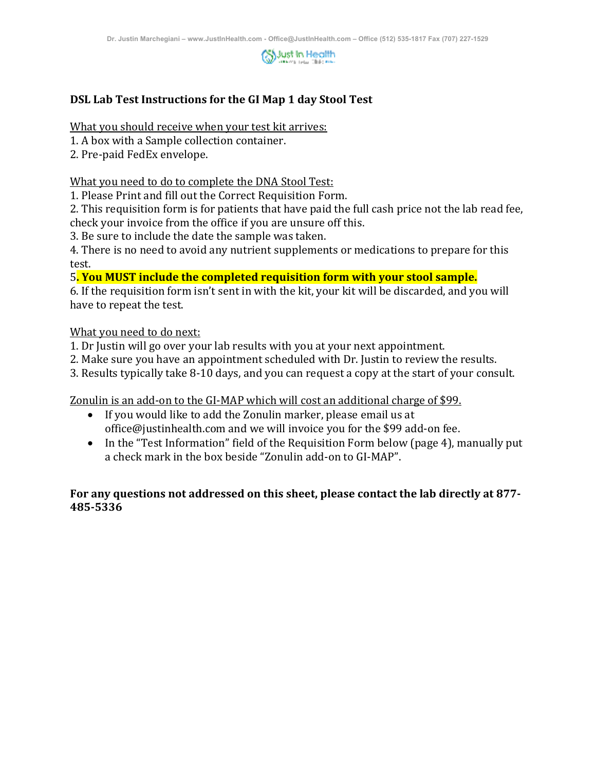

## **DSL Lab Test Instructions for the GI Map 1 day Stool Test**

What you should receive when your test kit arrives:

- 1. A box with a Sample collection container.
- 2. Pre-paid FedEx envelope.

What you need to do to complete the DNA Stool Test:

1. Please Print and fill out the Correct Requisition Form.

2. This requisition form is for patients that have paid the full cash price not the lab read fee, check your invoice from the office if you are unsure off this.

3. Be sure to include the date the sample was taken.

4. There is no need to avoid any nutrient supplements or medications to prepare for this test.

5**. You MUST include the completed requisition form with your stool sample.**

6. If the requisition form isn't sent in with the kit, your kit will be discarded, and you will have to repeat the test.

#### What you need to do next:

- 1. Dr Justin will go over your lab results with you at your next appointment.
- 2. Make sure you have an appointment scheduled with Dr. Justin to review the results.
- 3. Results typically take 8-10 days, and you can request a copy at the start of your consult.

Zonulin is an add-on to the GI-MAP which will cost an additional charge of \$99.

- If you would like to add the Zonulin marker, please email us at office@justinhealth.com and we will invoice you for the \$99 add-on fee.
- In the "Test Information" field of the Requisition Form below (page 4), manually put a check mark in the box beside "Zonulin add-on to GI-MAP".

### **For any questions not addressed on this sheet, please contact the lab directly at 877- 485-5336**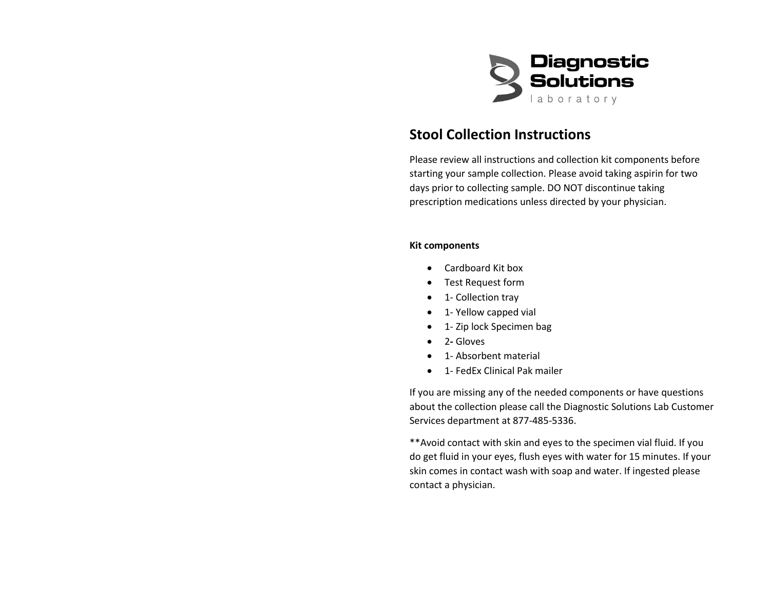

# **Stool Collection Instructions**

Please review all instructions and collection kit components before starting your sample collection. Please avoid taking aspirin for two days prior to collecting sample. DO NOT discontinue taking prescription medications unless directed by your physician.

#### **Kit components**

- Cardboard Kit box
- Test Request form
- 1- Collection tray
- 1- Yellow capped vial
- 1- Zip lock Specimen bag
- 2Gloves
- 1- Absorbent material
- 1- FedEx Clinical Pak mailer

If you are missing any of the needed components or have questions about the collection please call the Diagnostic Solutions Lab Customer Services department at 877-485-5336.

\*\*Avoid contact with skin and eyes to the specimen vial fluid. If you do get fluid in your eyes, flush eyes with water for 15 minutes. If your skin comes in contact wash with soap and water. If ingested please contact a physician.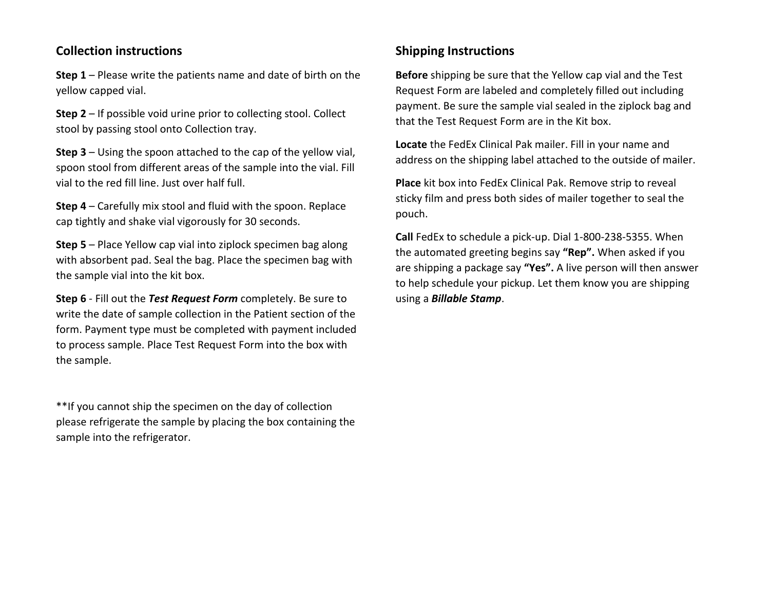## **Collection instructions**

**Step 1** – Please write the patients name and date of birth on the yellow capped vial.

**Step 2** – If possible void urine prior to collecting stool. Collect stool by passing stool onto Collection tray.

**Step 3** – Using the spoon attached to the cap of the yellow vial, spoon stool from different areas of the sample into the vial. Fill vial to the red fill line. Just over half full.

**Step 4** – Carefully mix stool and fluid with the spoon. Replace cap tightly and shake vial vigorously for 30 seconds.

**Step 5** – Place Yellow cap vial into ziplock specimen bag along with absorbent pad. Seal the bag. Place the specimen bag with the sample vial into the kit box.

**Step 6** - Fill out the *Test Request Form* completely. Be sure to write the date of sample collection in the Patient section of the form. Payment type must be completed with payment included to process sample. Place Test Request Form into the box with the sample.

\*\*If you cannot ship the specimen on the day of collection please refrigerate the sample by placing the box containing the sample into the refrigerator.

# **Shipping Instructions**

**Before** shipping be sure that the Yellow cap vial and the Test Request Form are labeled and completely filled out including payment. Be sure the sample vial sealed in the ziplock bag and that the Test Request Form are in the Kit box.

**Locate** the FedEx Clinical Pak mailer. Fill in your name and address on the shipping label attached to the outside of mailer.

**Place** kit box into FedEx Clinical Pak. Remove strip to reveal sticky film and press both sides of mailer together to seal the pouch.

**Call** FedEx to schedule a pick-up. Dial 1-800-238-5355. When the automated greeting begins say **"Rep".** When asked if you are shipping a package say **"Yes".** A live person will then answer to help schedule your pickup. Let them know you are shipping using a *Billable Stamp*.